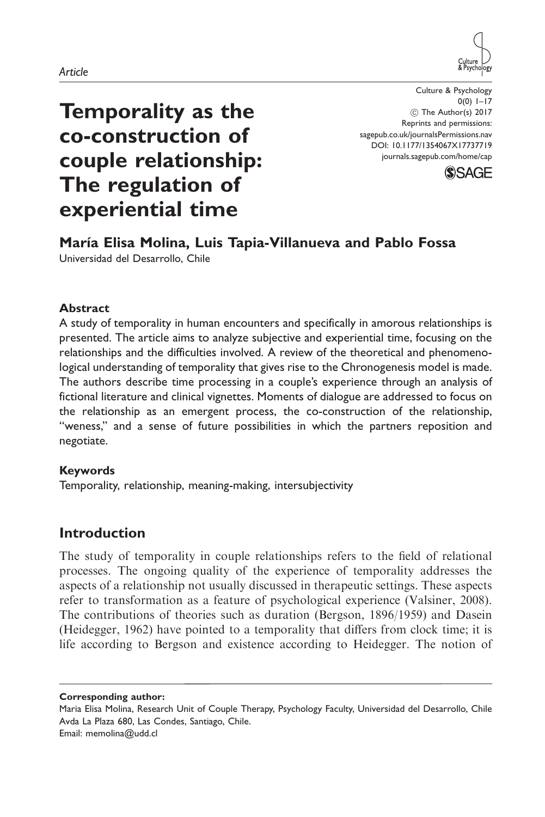

Temporality as the co-construction of couple relationship: The regulation of experiential time

Culture & Psychology  $0(0)$  1–17  $\circledcirc$  The Author(s) 2017 Reprints and permissions: [sagepub.co.uk/journalsPermissions.nav](https://uk.sagepub.com/en-gb/journals-permissions) DOI: [10.1177/1354067X17737719](https://doi.org/10.1177/1354067X17737719) <journals.sagepub.com/home/cap>



María Elisa Molina, Luis Tapia-Villanueva and Pablo Fossa Universidad del Desarrollo, Chile

### Abstract

A study of temporality in human encounters and specifically in amorous relationships is presented. The article aims to analyze subjective and experiential time, focusing on the relationships and the difficulties involved. A review of the theoretical and phenomenological understanding of temporality that gives rise to the Chronogenesis model is made. The authors describe time processing in a couple's experience through an analysis of fictional literature and clinical vignettes. Moments of dialogue are addressed to focus on the relationship as an emergent process, the co-construction of the relationship, ''weness,'' and a sense of future possibilities in which the partners reposition and negotiate.

### Keywords

Temporality, relationship, meaning-making, intersubjectivity

# Introduction

The study of temporality in couple relationships refers to the field of relational processes. The ongoing quality of the experience of temporality addresses the aspects of a relationship not usually discussed in therapeutic settings. These aspects refer to transformation as a feature of psychological experience (Valsiner, 2008). The contributions of theories such as duration (Bergson, 1896/1959) and Dasein (Heidegger, 1962) have pointed to a temporality that differs from clock time; it is life according to Bergson and existence according to Heidegger. The notion of

Corresponding author:

Maria Elisa Molina, Research Unit of Couple Therapy, Psychology Faculty, Universidad del Desarrollo, Chile Avda La Plaza 680, Las Condes, Santiago, Chile. Email: memolina@udd.cl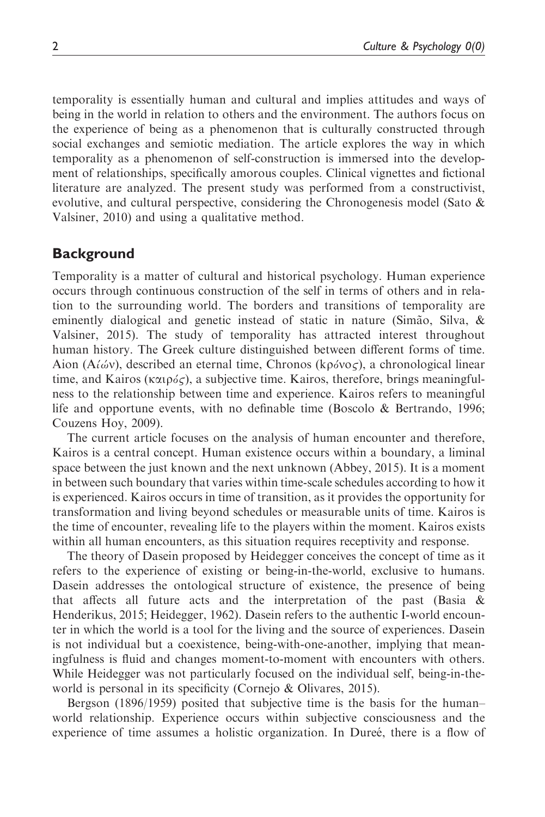temporality is essentially human and cultural and implies attitudes and ways of being in the world in relation to others and the environment. The authors focus on the experience of being as a phenomenon that is culturally constructed through social exchanges and semiotic mediation. The article explores the way in which temporality as a phenomenon of self-construction is immersed into the development of relationships, specifically amorous couples. Clinical vignettes and fictional literature are analyzed. The present study was performed from a constructivist, evolutive, and cultural perspective, considering the Chronogenesis model (Sato  $\&$ Valsiner, 2010) and using a qualitative method.

# **Background**

Temporality is a matter of cultural and historical psychology. Human experience occurs through continuous construction of the self in terms of others and in relation to the surrounding world. The borders and transitions of temporality are eminently dialogical and genetic instead of static in nature (Simão, Silva,  $\&$ Valsiner, 2015). The study of temporality has attracted interest throughout human history. The Greek culture distinguished between different forms of time. Aion ( $A\hat{\omega}$ v), described an eternal time, Chronos (k $\rho\hat{\omega}$ vo $\varsigma$ ), a chronological linear time, and Kairos ( $\kappa \alpha_1 \rho_0 \zeta$ ), a subjective time. Kairos, therefore, brings meaningfulness to the relationship between time and experience. Kairos refers to meaningful life and opportune events, with no definable time (Boscolo & Bertrando, 1996; Couzens Hoy, 2009).

The current article focuses on the analysis of human encounter and therefore, Kairos is a central concept. Human existence occurs within a boundary, a liminal space between the just known and the next unknown (Abbey, 2015). It is a moment in between such boundary that varies within time-scale schedules according to how it is experienced. Kairos occurs in time of transition, as it provides the opportunity for transformation and living beyond schedules or measurable units of time. Kairos is the time of encounter, revealing life to the players within the moment. Kairos exists within all human encounters, as this situation requires receptivity and response.

The theory of Dasein proposed by Heidegger conceives the concept of time as it refers to the experience of existing or being-in-the-world, exclusive to humans. Dasein addresses the ontological structure of existence, the presence of being that affects all future acts and the interpretation of the past (Basia & Henderikus, 2015; Heidegger, 1962). Dasein refers to the authentic I-world encounter in which the world is a tool for the living and the source of experiences. Dasein is not individual but a coexistence, being-with-one-another, implying that meaningfulness is fluid and changes moment-to-moment with encounters with others. While Heidegger was not particularly focused on the individual self, being-in-theworld is personal in its specificity (Cornejo & Olivares, 2015).

Bergson (1896/1959) posited that subjective time is the basis for the human– world relationship. Experience occurs within subjective consciousness and the experience of time assumes a holistic organization. In Dureé, there is a flow of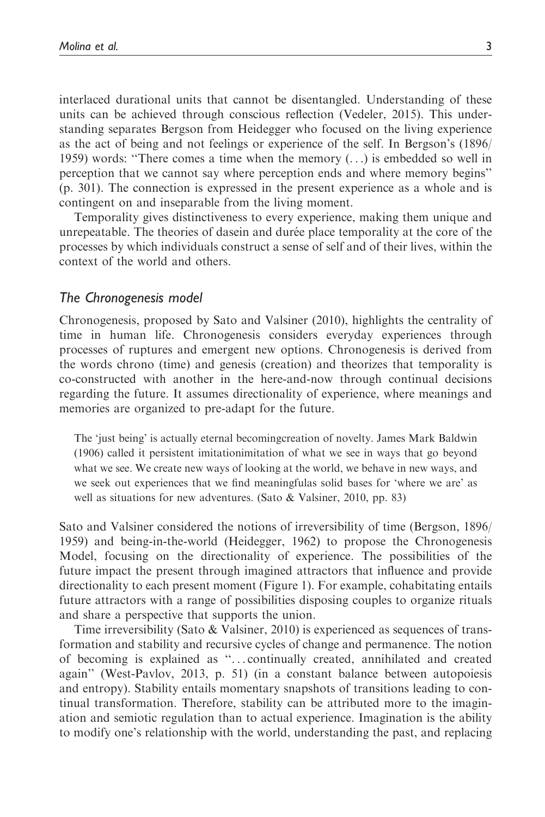interlaced durational units that cannot be disentangled. Understanding of these units can be achieved through conscious reflection (Vedeler, 2015). This understanding separates Bergson from Heidegger who focused on the living experience as the act of being and not feelings or experience of the self. In Bergson's (1896/ 1959) words: ''There comes a time when the memory (...) is embedded so well in perception that we cannot say where perception ends and where memory begins'' (p. 301). The connection is expressed in the present experience as a whole and is contingent on and inseparable from the living moment.

Temporality gives distinctiveness to every experience, making them unique and unrepeatable. The theories of dasein and durée place temporality at the core of the processes by which individuals construct a sense of self and of their lives, within the context of the world and others.

### The Chronogenesis model

Chronogenesis, proposed by Sato and Valsiner (2010), highlights the centrality of time in human life. Chronogenesis considers everyday experiences through processes of ruptures and emergent new options. Chronogenesis is derived from the words chrono (time) and genesis (creation) and theorizes that temporality is co-constructed with another in the here-and-now through continual decisions regarding the future. It assumes directionality of experience, where meanings and memories are organized to pre-adapt for the future.

The 'just being' is actually eternal becomingcreation of novelty. James Mark Baldwin (1906) called it persistent imitationimitation of what we see in ways that go beyond what we see. We create new ways of looking at the world, we behave in new ways, and we seek out experiences that we find meaningfulas solid bases for 'where we are' as well as situations for new adventures. (Sato & Valsiner, 2010, pp. 83)

Sato and Valsiner considered the notions of irreversibility of time (Bergson, 1896/ 1959) and being-in-the-world (Heidegger, 1962) to propose the Chronogenesis Model, focusing on the directionality of experience. The possibilities of the future impact the present through imagined attractors that influence and provide directionality to each present moment (Figure 1). For example, cohabitating entails future attractors with a range of possibilities disposing couples to organize rituals and share a perspective that supports the union.

Time irreversibility (Sato & Valsiner, 2010) is experienced as sequences of transformation and stability and recursive cycles of change and permanence. The notion of becoming is explained as ''... continually created, annihilated and created again'' (West-Pavlov, 2013, p. 51) (in a constant balance between autopoiesis and entropy). Stability entails momentary snapshots of transitions leading to continual transformation. Therefore, stability can be attributed more to the imagination and semiotic regulation than to actual experience. Imagination is the ability to modify one's relationship with the world, understanding the past, and replacing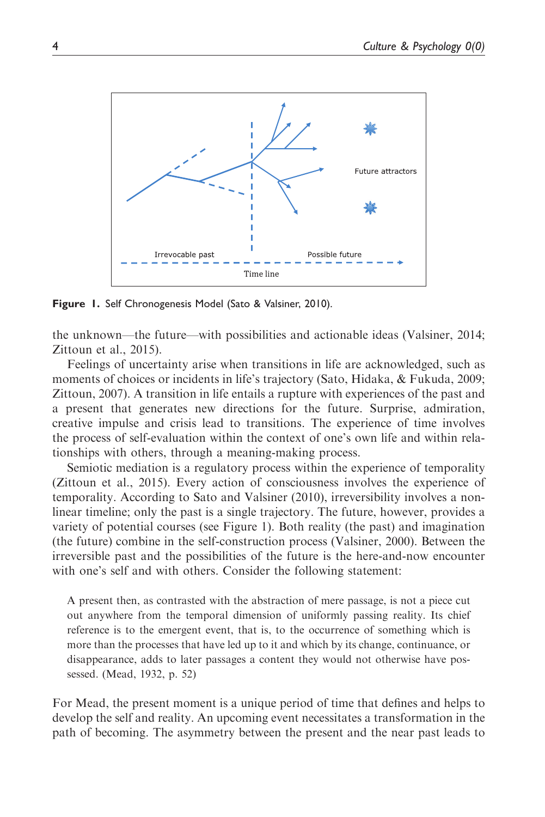

Figure 1. Self Chronogenesis Model (Sato & Valsiner, 2010).

the unknown—the future—with possibilities and actionable ideas (Valsiner, 2014; Zittoun et al., 2015).

Feelings of uncertainty arise when transitions in life are acknowledged, such as moments of choices or incidents in life's trajectory (Sato, Hidaka, & Fukuda, 2009; Zittoun, 2007). A transition in life entails a rupture with experiences of the past and a present that generates new directions for the future. Surprise, admiration, creative impulse and crisis lead to transitions. The experience of time involves the process of self-evaluation within the context of one's own life and within relationships with others, through a meaning-making process.

Semiotic mediation is a regulatory process within the experience of temporality (Zittoun et al., 2015). Every action of consciousness involves the experience of temporality. According to Sato and Valsiner (2010), irreversibility involves a nonlinear timeline; only the past is a single trajectory. The future, however, provides a variety of potential courses (see Figure 1). Both reality (the past) and imagination (the future) combine in the self-construction process (Valsiner, 2000). Between the irreversible past and the possibilities of the future is the here-and-now encounter with one's self and with others. Consider the following statement:

A present then, as contrasted with the abstraction of mere passage, is not a piece cut out anywhere from the temporal dimension of uniformly passing reality. Its chief reference is to the emergent event, that is, to the occurrence of something which is more than the processes that have led up to it and which by its change, continuance, or disappearance, adds to later passages a content they would not otherwise have possessed. (Mead, 1932, p. 52)

For Mead, the present moment is a unique period of time that defines and helps to develop the self and reality. An upcoming event necessitates a transformation in the path of becoming. The asymmetry between the present and the near past leads to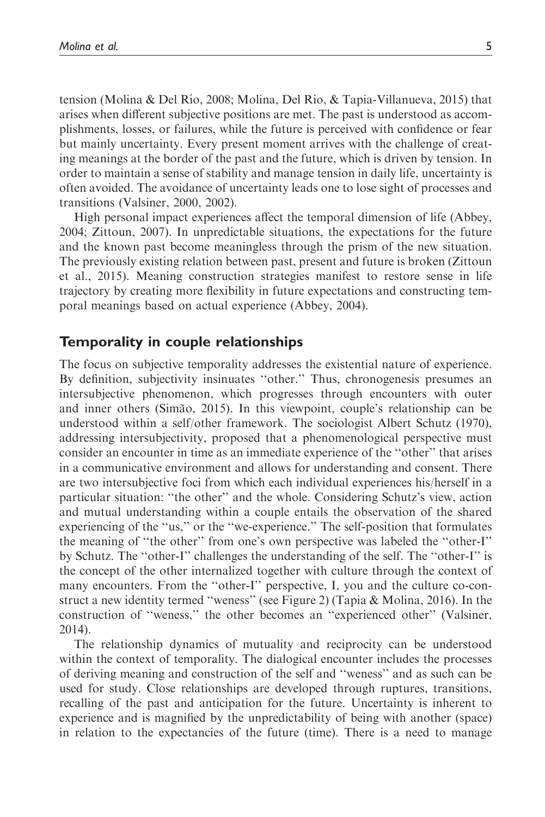tension (Molina & Del Rı´o, 2008; Molina, Del Rio, & Tapia-Villanueva, 2015) that arises when different subjective positions are met. The past is understood as accomplishments, losses, or failures, while the future is perceived with confidence or fear but mainly uncertainty. Every present moment arrives with the challenge of creating meanings at the border of the past and the future, which is driven by tension. In order to maintain a sense of stability and manage tension in daily life, uncertainty is often avoided. The avoidance of uncertainty leads one to lose sight of processes and transitions (Valsiner, 2000, 2002).

High personal impact experiences affect the temporal dimension of life (Abbey, 2004; Zittoun, 2007). In unpredictable situations, the expectations for the future and the known past become meaningless through the prism of the new situation. The previously existing relation between past, present and future is broken (Zittoun et al., 2015). Meaning construction strategies manifest to restore sense in life trajectory by creating more flexibility in future expectations and constructing temporal meanings based on actual experience (Abbey, 2004).

## Temporality in couple relationships

The focus on subjective temporality addresses the existential nature of experience. By definition, subjectivity insinuates ''other.'' Thus, chronogenesis presumes an intersubjective phenomenon, which progresses through encounters with outer and inner others (Simão, 2015). In this viewpoint, couple's relationship can be understood within a self/other framework. The sociologist Albert Schutz (1970), addressing intersubjectivity, proposed that a phenomenological perspective must consider an encounter in time as an immediate experience of the ''other'' that arises in a communicative environment and allows for understanding and consent. There are two intersubjective foci from which each individual experiences his/herself in a particular situation: ''the other'' and the whole. Considering Schutz's view, action and mutual understanding within a couple entails the observation of the shared experiencing of the ''us,'' or the ''we-experience.'' The self-position that formulates the meaning of ''the other'' from one's own perspective was labeled the ''other-I'' by Schutz. The ''other-I'' challenges the understanding of the self. The ''other-I'' is the concept of the other internalized together with culture through the context of many encounters. From the "other-I" perspective, I, you and the culture co-construct a new identity termed ''weness'' (see Figure 2) (Tapia & Molina, 2016). In the construction of ''weness,'' the other becomes an ''experienced other'' (Valsiner, 2014).

The relationship dynamics of mutuality and reciprocity can be understood within the context of temporality. The dialogical encounter includes the processes of deriving meaning and construction of the self and ''weness'' and as such can be used for study. Close relationships are developed through ruptures, transitions, recalling of the past and anticipation for the future. Uncertainty is inherent to experience and is magnified by the unpredictability of being with another (space) in relation to the expectancies of the future (time). There is a need to manage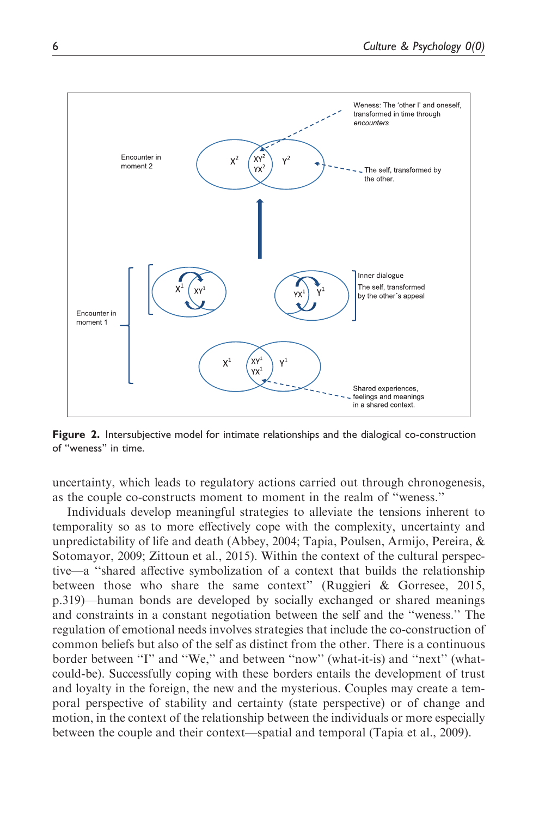

Figure 2. Intersubjective model for intimate relationships and the dialogical co-construction of ''weness'' in time.

uncertainty, which leads to regulatory actions carried out through chronogenesis, as the couple co-constructs moment to moment in the realm of ''weness.''

Individuals develop meaningful strategies to alleviate the tensions inherent to temporality so as to more effectively cope with the complexity, uncertainty and unpredictability of life and death (Abbey, 2004; Tapia, Poulsen, Armijo, Pereira, & Sotomayor, 2009; Zittoun et al., 2015). Within the context of the cultural perspective—a ''shared affective symbolization of a context that builds the relationship between those who share the same context'' (Ruggieri & Gorresee, 2015, p.319)—human bonds are developed by socially exchanged or shared meanings and constraints in a constant negotiation between the self and the ''weness.'' The regulation of emotional needs involves strategies that include the co-construction of common beliefs but also of the self as distinct from the other. There is a continuous border between "I" and "We," and between "now" (what-it-is) and "next" (whatcould-be). Successfully coping with these borders entails the development of trust and loyalty in the foreign, the new and the mysterious. Couples may create a temporal perspective of stability and certainty (state perspective) or of change and motion, in the context of the relationship between the individuals or more especially between the couple and their context—spatial and temporal (Tapia et al., 2009).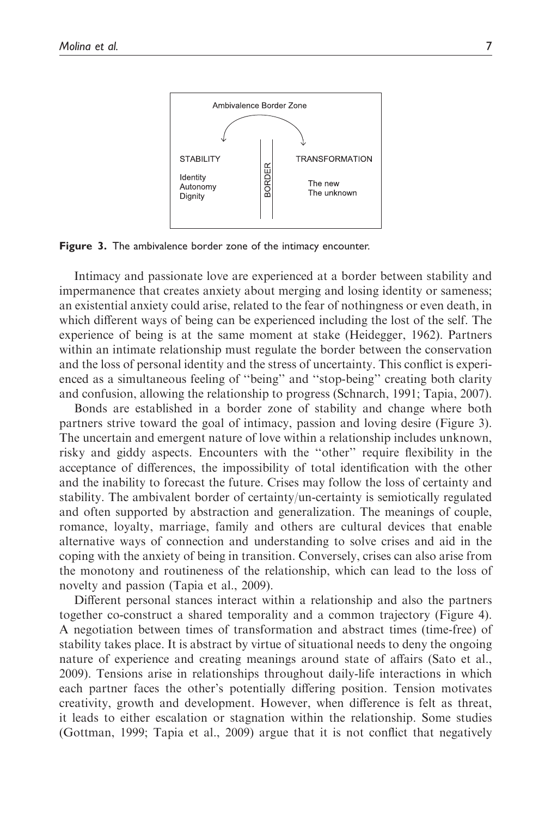

**Figure 3.** The ambivalence border zone of the intimacy encounter.

Intimacy and passionate love are experienced at a border between stability and impermanence that creates anxiety about merging and losing identity or sameness; an existential anxiety could arise, related to the fear of nothingness or even death, in which different ways of being can be experienced including the lost of the self. The experience of being is at the same moment at stake (Heidegger, 1962). Partners within an intimate relationship must regulate the border between the conservation and the loss of personal identity and the stress of uncertainty. This conflict is experienced as a simultaneous feeling of ''being'' and ''stop-being'' creating both clarity and confusion, allowing the relationship to progress (Schnarch, 1991; Tapia, 2007).

Bonds are established in a border zone of stability and change where both partners strive toward the goal of intimacy, passion and loving desire (Figure 3). The uncertain and emergent nature of love within a relationship includes unknown, risky and giddy aspects. Encounters with the ''other'' require flexibility in the acceptance of differences, the impossibility of total identification with the other and the inability to forecast the future. Crises may follow the loss of certainty and stability. The ambivalent border of certainty/un-certainty is semiotically regulated and often supported by abstraction and generalization. The meanings of couple, romance, loyalty, marriage, family and others are cultural devices that enable alternative ways of connection and understanding to solve crises and aid in the coping with the anxiety of being in transition. Conversely, crises can also arise from the monotony and routineness of the relationship, which can lead to the loss of novelty and passion (Tapia et al., 2009).

Different personal stances interact within a relationship and also the partners together co-construct a shared temporality and a common trajectory (Figure 4). A negotiation between times of transformation and abstract times (time-free) of stability takes place. It is abstract by virtue of situational needs to deny the ongoing nature of experience and creating meanings around state of affairs (Sato et al., 2009). Tensions arise in relationships throughout daily-life interactions in which each partner faces the other's potentially differing position. Tension motivates creativity, growth and development. However, when difference is felt as threat, it leads to either escalation or stagnation within the relationship. Some studies (Gottman, 1999; Tapia et al., 2009) argue that it is not conflict that negatively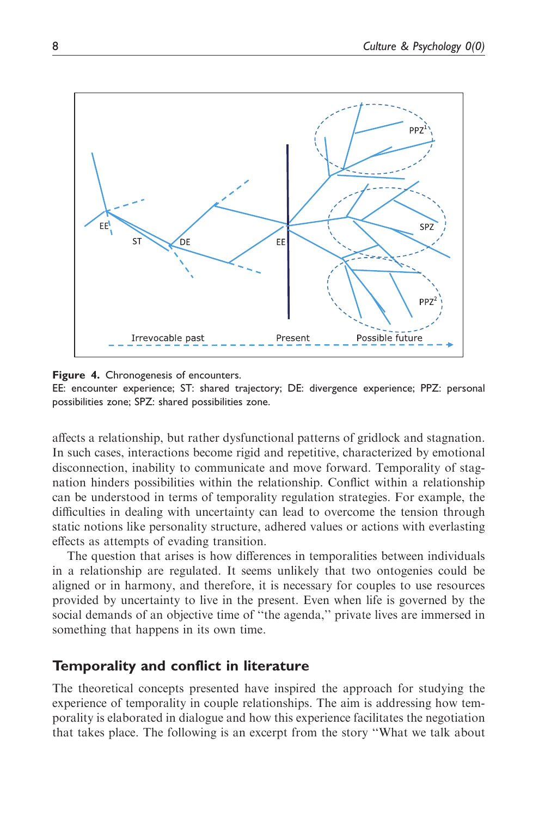

Figure 4. Chronogenesis of encounters.

EE: encounter experience; ST: shared trajectory; DE: divergence experience; PPZ: personal possibilities zone; SPZ: shared possibilities zone.

affects a relationship, but rather dysfunctional patterns of gridlock and stagnation. In such cases, interactions become rigid and repetitive, characterized by emotional disconnection, inability to communicate and move forward. Temporality of stagnation hinders possibilities within the relationship. Conflict within a relationship can be understood in terms of temporality regulation strategies. For example, the difficulties in dealing with uncertainty can lead to overcome the tension through static notions like personality structure, adhered values or actions with everlasting effects as attempts of evading transition.

The question that arises is how differences in temporalities between individuals in a relationship are regulated. It seems unlikely that two ontogenies could be aligned or in harmony, and therefore, it is necessary for couples to use resources provided by uncertainty to live in the present. Even when life is governed by the social demands of an objective time of ''the agenda,'' private lives are immersed in something that happens in its own time.

### Temporality and conflict in literature

The theoretical concepts presented have inspired the approach for studying the experience of temporality in couple relationships. The aim is addressing how temporality is elaborated in dialogue and how this experience facilitates the negotiation that takes place. The following is an excerpt from the story ''What we talk about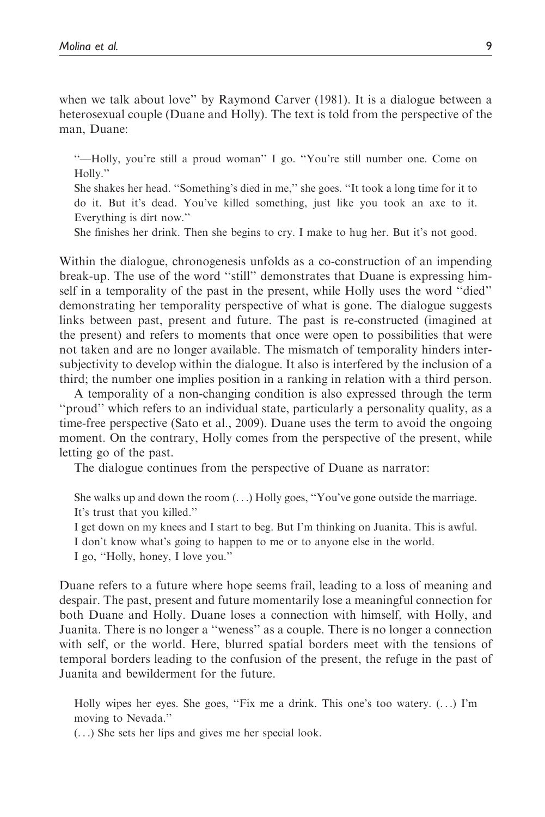when we talk about love'' by Raymond Carver (1981). It is a dialogue between a heterosexual couple (Duane and Holly). The text is told from the perspective of the man, Duane:

''—Holly, you're still a proud woman'' I go. ''You're still number one. Come on Holly.''

She shakes her head. ''Something's died in me,'' she goes. ''It took a long time for it to do it. But it's dead. You've killed something, just like you took an axe to it. Everything is dirt now.''

She finishes her drink. Then she begins to cry. I make to hug her. But it's not good.

Within the dialogue, chronogenesis unfolds as a co-construction of an impending break-up. The use of the word ''still'' demonstrates that Duane is expressing himself in a temporality of the past in the present, while Holly uses the word ''died'' demonstrating her temporality perspective of what is gone. The dialogue suggests links between past, present and future. The past is re-constructed (imagined at the present) and refers to moments that once were open to possibilities that were not taken and are no longer available. The mismatch of temporality hinders intersubjectivity to develop within the dialogue. It also is interfered by the inclusion of a third; the number one implies position in a ranking in relation with a third person.

A temporality of a non-changing condition is also expressed through the term ''proud'' which refers to an individual state, particularly a personality quality, as a time-free perspective (Sato et al., 2009). Duane uses the term to avoid the ongoing moment. On the contrary, Holly comes from the perspective of the present, while letting go of the past.

The dialogue continues from the perspective of Duane as narrator:

She walks up and down the room (...) Holly goes, ''You've gone outside the marriage. It's trust that you killed.''

I get down on my knees and I start to beg. But I'm thinking on Juanita. This is awful.

I don't know what's going to happen to me or to anyone else in the world.

I go, ''Holly, honey, I love you.''

Duane refers to a future where hope seems frail, leading to a loss of meaning and despair. The past, present and future momentarily lose a meaningful connection for both Duane and Holly. Duane loses a connection with himself, with Holly, and Juanita. There is no longer a ''weness'' as a couple. There is no longer a connection with self, or the world. Here, blurred spatial borders meet with the tensions of temporal borders leading to the confusion of the present, the refuge in the past of Juanita and bewilderment for the future.

Holly wipes her eyes. She goes, "Fix me a drink. This one's too watery.  $(\ldots)$  I'm moving to Nevada.''

(...) She sets her lips and gives me her special look.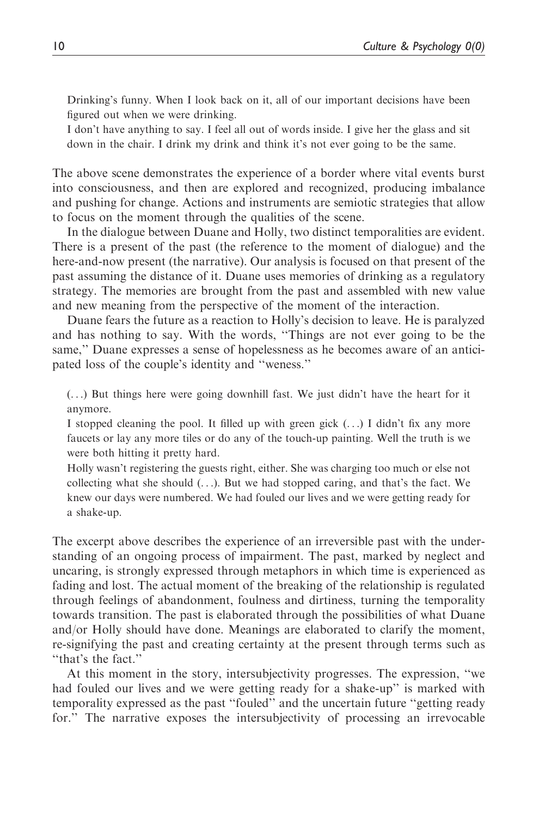Drinking's funny. When I look back on it, all of our important decisions have been figured out when we were drinking.

I don't have anything to say. I feel all out of words inside. I give her the glass and sit down in the chair. I drink my drink and think it's not ever going to be the same.

The above scene demonstrates the experience of a border where vital events burst into consciousness, and then are explored and recognized, producing imbalance and pushing for change. Actions and instruments are semiotic strategies that allow to focus on the moment through the qualities of the scene.

In the dialogue between Duane and Holly, two distinct temporalities are evident. There is a present of the past (the reference to the moment of dialogue) and the here-and-now present (the narrative). Our analysis is focused on that present of the past assuming the distance of it. Duane uses memories of drinking as a regulatory strategy. The memories are brought from the past and assembled with new value and new meaning from the perspective of the moment of the interaction.

Duane fears the future as a reaction to Holly's decision to leave. He is paralyzed and has nothing to say. With the words, ''Things are not ever going to be the same,'' Duane expresses a sense of hopelessness as he becomes aware of an anticipated loss of the couple's identity and ''weness.''

(...) But things here were going downhill fast. We just didn't have the heart for it anymore.

I stopped cleaning the pool. It filled up with green gick  $(\ldots)$  I didn't fix any more faucets or lay any more tiles or do any of the touch-up painting. Well the truth is we were both hitting it pretty hard.

Holly wasn't registering the guests right, either. She was charging too much or else not collecting what she should  $(...)$ . But we had stopped caring, and that's the fact. We knew our days were numbered. We had fouled our lives and we were getting ready for a shake-up.

The excerpt above describes the experience of an irreversible past with the understanding of an ongoing process of impairment. The past, marked by neglect and uncaring, is strongly expressed through metaphors in which time is experienced as fading and lost. The actual moment of the breaking of the relationship is regulated through feelings of abandonment, foulness and dirtiness, turning the temporality towards transition. The past is elaborated through the possibilities of what Duane and/or Holly should have done. Meanings are elaborated to clarify the moment, re-signifying the past and creating certainty at the present through terms such as ''that's the fact.''

At this moment in the story, intersubjectivity progresses. The expression, ''we had fouled our lives and we were getting ready for a shake-up'' is marked with temporality expressed as the past ''fouled'' and the uncertain future ''getting ready for.'' The narrative exposes the intersubjectivity of processing an irrevocable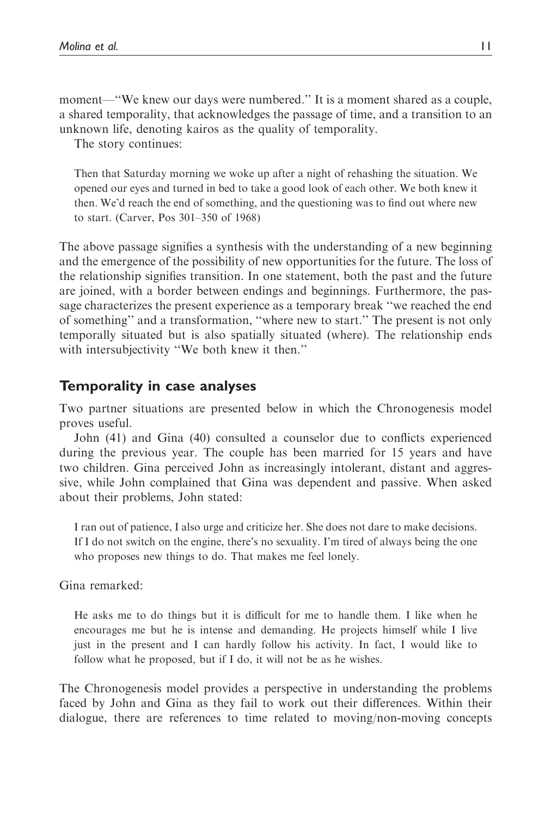moment—''We knew our days were numbered.'' It is a moment shared as a couple, a shared temporality, that acknowledges the passage of time, and a transition to an unknown life, denoting kairos as the quality of temporality.

The story continues:

Then that Saturday morning we woke up after a night of rehashing the situation. We opened our eyes and turned in bed to take a good look of each other. We both knew it then. We'd reach the end of something, and the questioning was to find out where new to start. (Carver, Pos 301–350 of 1968)

The above passage signifies a synthesis with the understanding of a new beginning and the emergence of the possibility of new opportunities for the future. The loss of the relationship signifies transition. In one statement, both the past and the future are joined, with a border between endings and beginnings. Furthermore, the passage characterizes the present experience as a temporary break ''we reached the end of something'' and a transformation, ''where new to start.'' The present is not only temporally situated but is also spatially situated (where). The relationship ends with intersubjectivity ''We both knew it then.''

# Temporality in case analyses

Two partner situations are presented below in which the Chronogenesis model proves useful.

John (41) and Gina (40) consulted a counselor due to conflicts experienced during the previous year. The couple has been married for 15 years and have two children. Gina perceived John as increasingly intolerant, distant and aggressive, while John complained that Gina was dependent and passive. When asked about their problems, John stated:

I ran out of patience, I also urge and criticize her. She does not dare to make decisions. If I do not switch on the engine, there's no sexuality. I'm tired of always being the one who proposes new things to do. That makes me feel lonely.

Gina remarked:

He asks me to do things but it is difficult for me to handle them. I like when he encourages me but he is intense and demanding. He projects himself while I live just in the present and I can hardly follow his activity. In fact, I would like to follow what he proposed, but if I do, it will not be as he wishes.

The Chronogenesis model provides a perspective in understanding the problems faced by John and Gina as they fail to work out their differences. Within their dialogue, there are references to time related to moving/non-moving concepts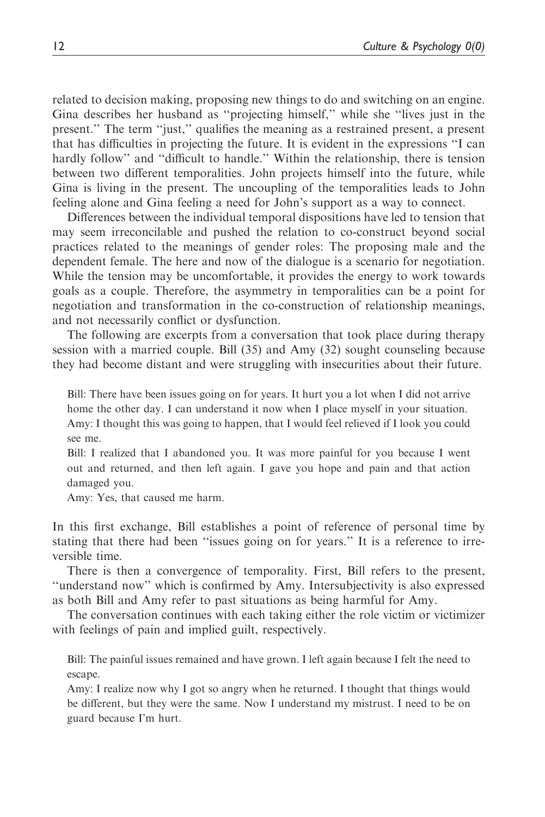related to decision making, proposing new things to do and switching on an engine. Gina describes her husband as ''projecting himself,'' while she ''lives just in the present.'' The term ''just,'' qualifies the meaning as a restrained present, a present that has difficulties in projecting the future. It is evident in the expressions ''I can hardly follow'' and ''difficult to handle.'' Within the relationship, there is tension between two different temporalities. John projects himself into the future, while Gina is living in the present. The uncoupling of the temporalities leads to John feeling alone and Gina feeling a need for John's support as a way to connect.

Differences between the individual temporal dispositions have led to tension that may seem irreconcilable and pushed the relation to co-construct beyond social practices related to the meanings of gender roles: The proposing male and the dependent female. The here and now of the dialogue is a scenario for negotiation. While the tension may be uncomfortable, it provides the energy to work towards goals as a couple. Therefore, the asymmetry in temporalities can be a point for negotiation and transformation in the co-construction of relationship meanings, and not necessarily conflict or dysfunction.

The following are excerpts from a conversation that took place during therapy session with a married couple. Bill (35) and Amy (32) sought counseling because they had become distant and were struggling with insecurities about their future.

Bill: There have been issues going on for years. It hurt you a lot when I did not arrive home the other day. I can understand it now when I place myself in your situation. Amy: I thought this was going to happen, that I would feel relieved if I look you could see me.

Bill: I realized that I abandoned you. It was more painful for you because I went out and returned, and then left again. I gave you hope and pain and that action damaged you.

Amy: Yes, that caused me harm.

In this first exchange, Bill establishes a point of reference of personal time by stating that there had been ''issues going on for years.'' It is a reference to irreversible time.

There is then a convergence of temporality. First, Bill refers to the present, ''understand now'' which is confirmed by Amy. Intersubjectivity is also expressed as both Bill and Amy refer to past situations as being harmful for Amy.

The conversation continues with each taking either the role victim or victimizer with feelings of pain and implied guilt, respectively.

Bill: The painful issues remained and have grown. I left again because I felt the need to escape.

Amy: I realize now why I got so angry when he returned. I thought that things would be different, but they were the same. Now I understand my mistrust. I need to be on guard because I'm hurt.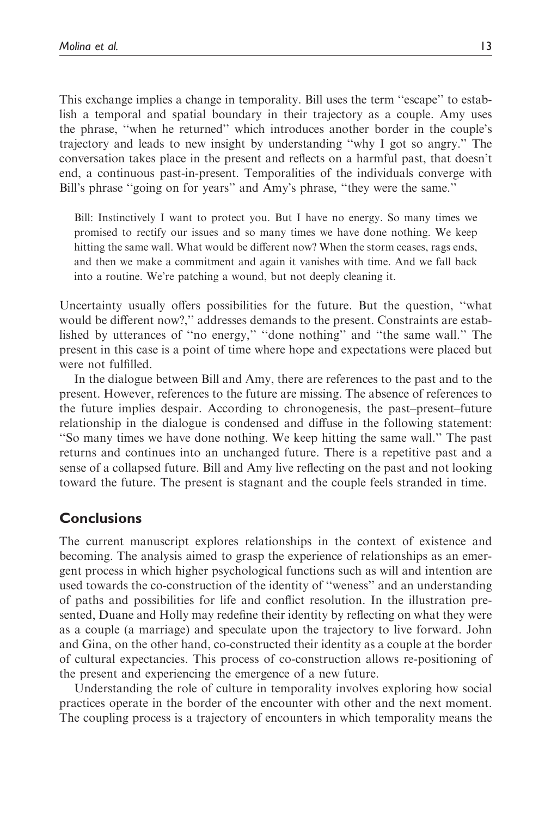This exchange implies a change in temporality. Bill uses the term ''escape'' to establish a temporal and spatial boundary in their trajectory as a couple. Amy uses the phrase, ''when he returned'' which introduces another border in the couple's trajectory and leads to new insight by understanding ''why I got so angry.'' The conversation takes place in the present and reflects on a harmful past, that doesn't end, a continuous past-in-present. Temporalities of the individuals converge with Bill's phrase ''going on for years'' and Amy's phrase, ''they were the same.''

Bill: Instinctively I want to protect you. But I have no energy. So many times we promised to rectify our issues and so many times we have done nothing. We keep hitting the same wall. What would be different now? When the storm ceases, rags ends, and then we make a commitment and again it vanishes with time. And we fall back into a routine. We're patching a wound, but not deeply cleaning it.

Uncertainty usually offers possibilities for the future. But the question, ''what would be different now?,'' addresses demands to the present. Constraints are established by utterances of ''no energy,'' ''done nothing'' and ''the same wall.'' The present in this case is a point of time where hope and expectations were placed but were not fulfilled.

In the dialogue between Bill and Amy, there are references to the past and to the present. However, references to the future are missing. The absence of references to the future implies despair. According to chronogenesis, the past–present–future relationship in the dialogue is condensed and diffuse in the following statement: ''So many times we have done nothing. We keep hitting the same wall.'' The past returns and continues into an unchanged future. There is a repetitive past and a sense of a collapsed future. Bill and Amy live reflecting on the past and not looking toward the future. The present is stagnant and the couple feels stranded in time.

## **Conclusions**

The current manuscript explores relationships in the context of existence and becoming. The analysis aimed to grasp the experience of relationships as an emergent process in which higher psychological functions such as will and intention are used towards the co-construction of the identity of ''weness'' and an understanding of paths and possibilities for life and conflict resolution. In the illustration presented, Duane and Holly may redefine their identity by reflecting on what they were as a couple (a marriage) and speculate upon the trajectory to live forward. John and Gina, on the other hand, co-constructed their identity as a couple at the border of cultural expectancies. This process of co-construction allows re-positioning of the present and experiencing the emergence of a new future.

Understanding the role of culture in temporality involves exploring how social practices operate in the border of the encounter with other and the next moment. The coupling process is a trajectory of encounters in which temporality means the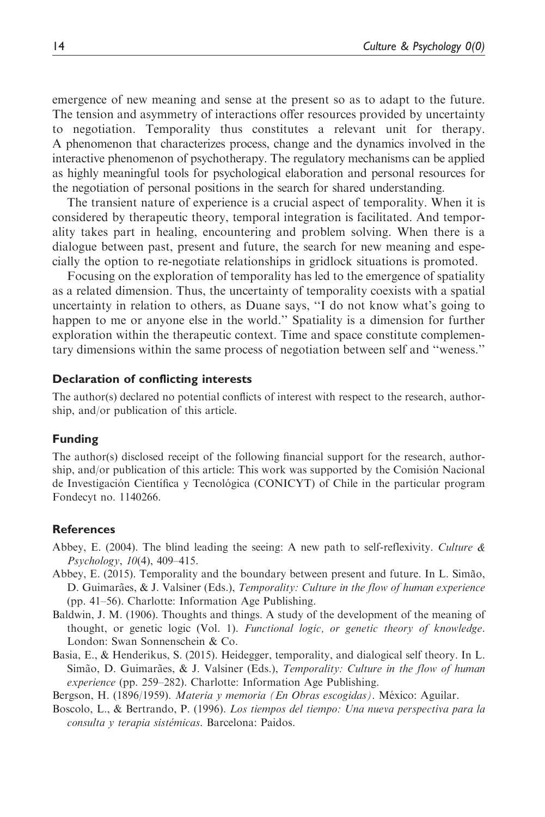emergence of new meaning and sense at the present so as to adapt to the future. The tension and asymmetry of interactions offer resources provided by uncertainty to negotiation. Temporality thus constitutes a relevant unit for therapy. A phenomenon that characterizes process, change and the dynamics involved in the interactive phenomenon of psychotherapy. The regulatory mechanisms can be applied as highly meaningful tools for psychological elaboration and personal resources for the negotiation of personal positions in the search for shared understanding.

The transient nature of experience is a crucial aspect of temporality. When it is considered by therapeutic theory, temporal integration is facilitated. And temporality takes part in healing, encountering and problem solving. When there is a dialogue between past, present and future, the search for new meaning and especially the option to re-negotiate relationships in gridlock situations is promoted.

Focusing on the exploration of temporality has led to the emergence of spatiality as a related dimension. Thus, the uncertainty of temporality coexists with a spatial uncertainty in relation to others, as Duane says, ''I do not know what's going to happen to me or anyone else in the world.'' Spatiality is a dimension for further exploration within the therapeutic context. Time and space constitute complementary dimensions within the same process of negotiation between self and ''weness.''

### Declaration of conflicting interests

The author(s) declared no potential conflicts of interest with respect to the research, authorship, and/or publication of this article.

#### Funding

The author(s) disclosed receipt of the following financial support for the research, authorship, and/or publication of this article: This work was supported by the Comisión Nacional de Investigación Científica y Tecnológica (CONICYT) of Chile in the particular program Fondecyt no. 1140266.

#### **References**

- Abbey, E. (2004). The blind leading the seeing: A new path to self-reflexivity. Culture  $\&$ Psychology, 10(4), 409–415.
- Abbey, E. (2015). Temporality and the boundary between present and future. In L. Simão, D. Guimarães, & J. Valsiner (Eds.), Temporality: Culture in the flow of human experience (pp. 41–56). Charlotte: Information Age Publishing.
- Baldwin, J. M. (1906). Thoughts and things. A study of the development of the meaning of thought, or genetic logic (Vol. 1). Functional logic, or genetic theory of knowledge. London: Swan Sonnenschein & Co.
- Basia, E., & Henderikus, S. (2015). Heidegger, temporality, and dialogical self theory. In L. Simão, D. Guimarães, & J. Valsiner (Eds.), *Temporality: Culture in the flow of human* experience (pp. 259–282). Charlotte: Information Age Publishing.

Bergson, H. (1896/1959). *Materia y memoria (En Obras escogidas)*. México: Aguilar.

Boscolo, L., & Bertrando, P. (1996). Los tiempos del tiempo: Una nueva perspectiva para la consulta y terapia sistémicas. Barcelona: Paidos.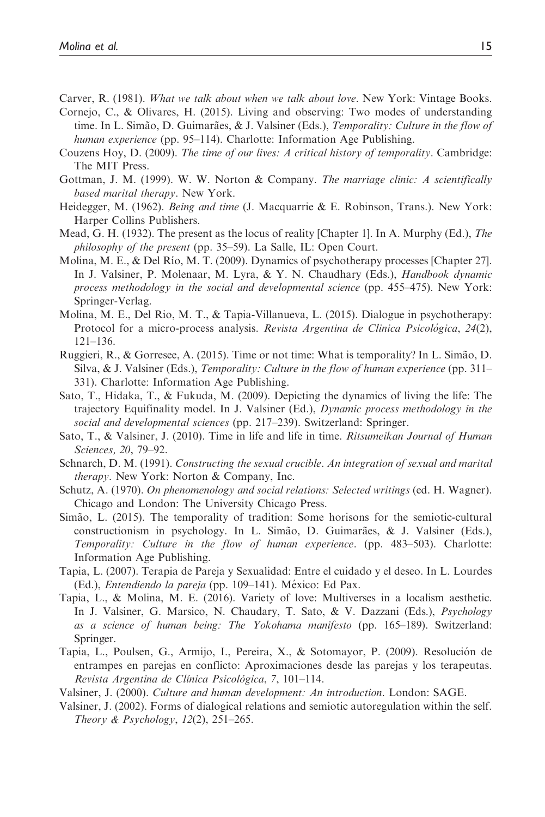- Carver, R. (1981). What we talk about when we talk about love. New York: Vintage Books.
- Cornejo, C., & Olivares, H. (2015). Living and observing: Two modes of understanding time. In L. Simão, D. Guimarães, & J. Valsiner (Eds.), Temporality: Culture in the flow of human experience (pp. 95-114). Charlotte: Information Age Publishing.
- Couzens Hoy, D. (2009). The time of our lives: A critical history of temporality. Cambridge: The MIT Press.
- Gottman, J. M. (1999). W. W. Norton & Company. The marriage clinic: A scientifically based marital therapy. New York.
- Heidegger, M. (1962). Being and time (J. Macquarrie & E. Robinson, Trans.). New York: Harper Collins Publishers.
- Mead, G. H. (1932). The present as the locus of reality [Chapter 1]. In A. Murphy (Ed.), The philosophy of the present (pp. 35–59). La Salle, IL: Open Court.
- Molina, M. E., & Del Río, M. T. (2009). Dynamics of psychotherapy processes [Chapter 27]. In J. Valsiner, P. Molenaar, M. Lyra, & Y. N. Chaudhary (Eds.), Handbook dynamic process methodology in the social and developmental science (pp. 455–475). New York: Springer-Verlag.
- Molina, M. E., Del Rio, M. T., & Tapia-Villanueva, L. (2015). Dialogue in psychotherapy: Protocol for a micro-process analysis. Revista Argentina de Clinica Psicológica, 24(2), 121–136.
- Ruggieri, R., & Gorresee, A. (2015). Time or not time: What is temporality? In L. Simão, D. Silva, & J. Valsiner (Eds.), Temporality: Culture in the flow of human experience (pp. 311– 331). Charlotte: Information Age Publishing.
- Sato, T., Hidaka, T., & Fukuda, M. (2009). Depicting the dynamics of living the life: The trajectory Equifinality model. In J. Valsiner (Ed.), Dynamic process methodology in the social and developmental sciences (pp. 217–239). Switzerland: Springer.
- Sato, T., & Valsiner, J. (2010). Time in life and life in time. Ritsumeikan Journal of Human Sciences, 20, 79–92.
- Schnarch, D. M. (1991). Constructing the sexual crucible. An integration of sexual and marital therapy. New York: Norton & Company, Inc.
- Schutz, A. (1970). On phenomenology and social relations: Selected writings (ed. H. Wagner). Chicago and London: The University Chicago Press.
- Simão, L. (2015). The temporality of tradition: Some horisons for the semiotic-cultural constructionism in psychology. In L. Simão, D. Guimarães, & J. Valsiner (Eds.), Temporality: Culture in the flow of human experience. (pp. 483–503). Charlotte: Information Age Publishing.
- Tapia, L. (2007). Terapia de Pareja y Sexualidad: Entre el cuidado y el deseo. In L. Lourdes (Ed.), *Entendiendo la pareja* (pp. 109–141). México: Ed Pax.
- Tapia, L., & Molina, M. E. (2016). Variety of love: Multiverses in a localism aesthetic. In J. Valsiner, G. Marsico, N. Chaudary, T. Sato, & V. Dazzani (Eds.), Psychology as a science of human being: The Yokohama manifesto (pp. 165–189). Switzerland: Springer.
- Tapia, L., Poulsen, G., Armijo, I., Pereira, X., & Sotomayor, P. (2009). Resolución de entrampes en parejas en conflicto: Aproximaciones desde las parejas y los terapeutas. Revista Argentina de Clínica Psicológica, 7, 101–114.
- Valsiner, J. (2000). Culture and human development: An introduction. London: SAGE.
- Valsiner, J. (2002). Forms of dialogical relations and semiotic autoregulation within the self. Theory & Psychology,  $12(2)$ ,  $251-265$ .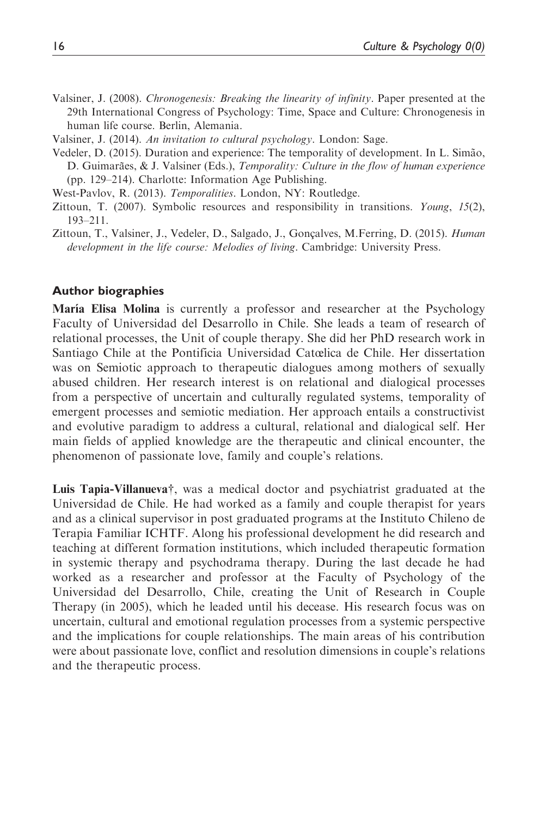Valsiner, J. (2008). Chronogenesis: Breaking the linearity of infinity. Paper presented at the 29th International Congress of Psychology: Time, Space and Culture: Chronogenesis in human life course. Berlin, Alemania.

Valsiner, J. (2014). An invitation to cultural psychology. London: Sage.

- Vedeler, D. (2015). Duration and experience: The temporality of development. In L. Simão, D. Guimarães, & J. Valsiner (Eds.), Temporality: Culture in the flow of human experience (pp. 129–214). Charlotte: Information Age Publishing.
- West-Pavlov, R. (2013). Temporalities. London, NY: Routledge.
- Zittoun, T. (2007). Symbolic resources and responsibility in transitions. Young, 15(2), 193–211.
- Zittoun, T., Valsiner, J., Vedeler, D., Salgado, J., Goncalves, M.Ferring, D. (2015). *Human* development in the life course: Melodies of living. Cambridge: University Press.

#### Author biographies

**María Elisa Molina** is currently a professor and researcher at the Psychology Faculty of Universidad del Desarrollo in Chile. She leads a team of research of relational processes, the Unit of couple therapy. She did her PhD research work in Santiago Chile at the Pontificia Universidad Catœlica de Chile. Her dissertation was on Semiotic approach to therapeutic dialogues among mothers of sexually abused children. Her research interest is on relational and dialogical processes from a perspective of uncertain and culturally regulated systems, temporality of emergent processes and semiotic mediation. Her approach entails a constructivist and evolutive paradigm to address a cultural, relational and dialogical self. Her main fields of applied knowledge are the therapeutic and clinical encounter, the phenomenon of passionate love, family and couple's relations.

Luis Tapia-Villanueva<sup>†</sup>, was a medical doctor and psychiatrist graduated at the Universidad de Chile. He had worked as a family and couple therapist for years and as a clinical supervisor in post graduated programs at the Instituto Chileno de Terapia Familiar ICHTF. Along his professional development he did research and teaching at different formation institutions, which included therapeutic formation in systemic therapy and psychodrama therapy. During the last decade he had worked as a researcher and professor at the Faculty of Psychology of the Universidad del Desarrollo, Chile, creating the Unit of Research in Couple Therapy (in 2005), which he leaded until his decease. His research focus was on uncertain, cultural and emotional regulation processes from a systemic perspective and the implications for couple relationships. The main areas of his contribution were about passionate love, conflict and resolution dimensions in couple's relations and the therapeutic process.